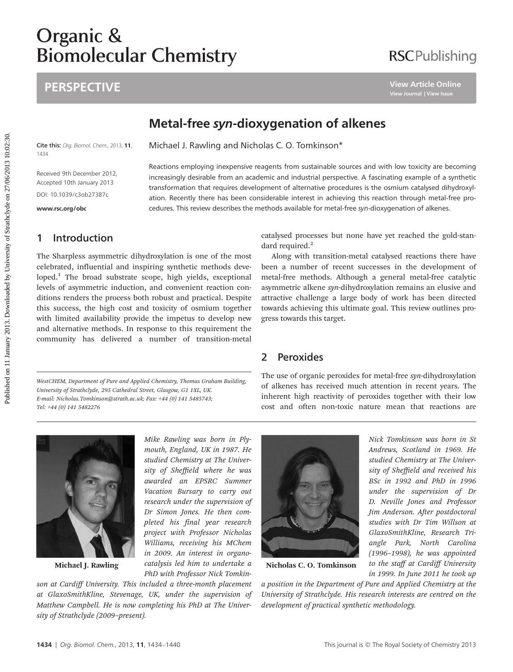# **Biomolecu** Biomolecular Chemistry

# **PERSPECTIVE**

# **RSCPublishing**

# Metal-free syn-dioxygenation of alkenes

Reactions employing inexpensive reagents from sustainable sources and with low toxicity are becoming increasingly desirable from an academic and industrial perspective. A fascinating example of a synthetic transformation that requires development of alternative procedures is the osmium catalysed dihydroxylation. Recently there has been considerable interest in achieving this reaction through metal-free procedures. This review describes the methods available for metal-free syn-dioxygenation of alkenes.

Cite this: Org. Biomol. Chem., 2013, 11, 1434 Michael J. Rawling and Nicholas C. O. Tomkinson\*

Received 9th December 2012, Accepted 10th January 2013

DOI: 10.1039/c3ob27387c

<www.rsc.org/obc>

# 1 Introduction

The Sharpless asymmetric dihydroxylation is one of the most celebrated, influential and inspiring synthetic methods developed.<sup>1</sup> The broad substrate scope, high yields, exceptional levels of asymmetric induction, and convenient reaction conditions renders the process both robust and practical. Despite this success, the high cost and toxicity of osmium together with limited availability provide the impetus to develop new and alternative methods. In response to this requirement the community has delivered a number of transition-metal **PERSPECTIVE**<br> **PRESERVATELE ON THE SUPPRESERVATE CONSERVATE CONSERVATE CONSERVATE CONSERVATE AND INTERNATIONAL ARRANGEM CONSERVATE ARRANGEM CONSERVATE ARRANGEM CONSERVATE AND INTERNATIONAL ARRANGEM CONSERVATE AND INTERNAT** 

WestCHEM, Department of Pure and Applied Chemistry, Thomas Graham Building, University of Strathclyde, 295 Cathedral Street, Glasgow, G1 1XL, UK. E-mail: Nicholas.Tomkinson@strath.ac.uk; Fax: +44 (0) 141 5485743; Tel: +44 (0) 141 5482276

catalysed processes but none have yet reached the gold-standard required.<sup>2</sup>

Along with transition-metal catalysed reactions there have been a number of recent successes in the development of metal-free methods. Although a general metal-free catalytic asymmetric alkene syn-dihydroxylation remains an elusive and attractive challenge a large body of work has been directed towards achieving this ultimate goal. This review outlines progress towards this target.

# 2 Peroxides

The use of organic peroxides for metal-free syn-dihydroxylation of alkenes has received much attention in recent years. The inherent high reactivity of peroxides together with their low cost and often non-toxic nature mean that reactions are

> Nick Tomkinson was born in St Andrews, Scotland in 1969. He studied Chemistry at The University of Sheffield and received his BSc in 1992 and PhD in 1996 under the supervision of Dr D. Neville Jones and Professor Jim Anderson. After postdoctoral studies with Dr Tim Willson at GlaxoSmithKline, Research Triangle Park, North Carolina (1996–1998), he was appointed to the staff at Cardiff University in 1999. In June 2011 he took up



Michael J. Rawling

Mike Rawling was born in Plymouth, England, UK in 1987. He studied Chemistry at The University of Sheffield where he was awarded an EPSRC Summer Vacation Bursary to carry out research under the supervision of Dr Simon Jones. He then completed his final year research project with Professor Nicholas Williams, receiving his MChem in 2009. An interest in organocatalysis led him to undertake a PhD with Professor Nick Tomkin-

son at Cardiff University. This included a three-month placement at GlaxoSmithKline, Stevenage, UK, under the supervision of Matthew Campbell. He is now completing his PhD at The University of Strathclyde (2009–present).



Nicholas C. O. Tomkinson

a position in the Department of Pure and Applied Chemistry at the University of Strathclyde. His research interests are centred on the development of practical synthetic methodology.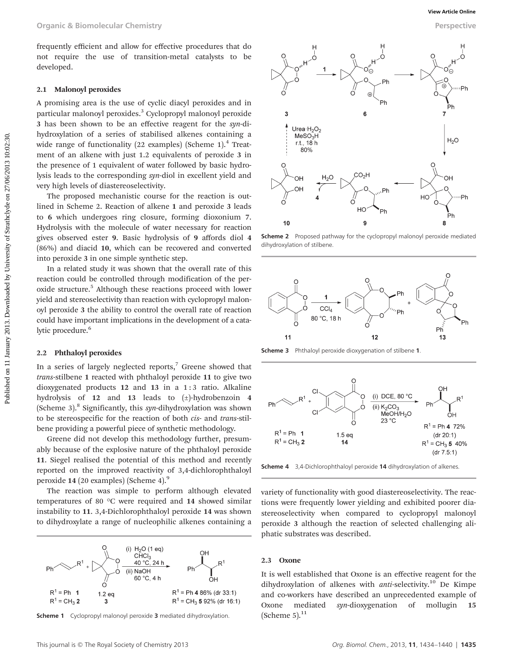frequently efficient and allow for effective procedures that do not require the use of transition-metal catalysts to be developed.

#### 2.1 Malonoyl peroxides

A promising area is the use of cyclic diacyl peroxides and in particular malonoyl peroxides.<sup>3</sup> Cyclopropyl malonoyl peroxide 3 has been shown to be an effective reagent for the syn-dihydroxylation of a series of stabilised alkenes containing a wide range of functionality (22 examples) (Scheme 1).<sup>4</sup> Treatment of an alkene with just 1.2 equivalents of peroxide 3 in the presence of 1 equivalent of water followed by basic hydrolysis leads to the corresponding syn-diol in excellent yield and very high levels of diastereoselectivity.

The proposed mechanistic course for the reaction is outlined in Scheme 2. Reaction of alkene 1 and peroxide 3 leads to 6 which undergoes ring closure, forming dioxonium 7. Hydrolysis with the molecule of water necessary for reaction gives observed ester 9. Basic hydrolysis of 9 affords diol 4 (86%) and diacid 10, which can be recovered and converted into peroxide 3 in one simple synthetic step.

In a related study it was shown that the overall rate of this reaction could be controlled through modification of the peroxide structure.<sup>5</sup> Although these reactions proceed with lower yield and stereoselectivity than reaction with cyclopropyl malonoyl peroxide 3 the ability to control the overall rate of reaction could have important implications in the development of a catalytic procedure.<sup>6</sup>

## 2.2 Phthaloyl peroxides

In a series of largely neglected reports, $7$  Greene showed that trans-stilbene 1 reacted with phthaloyl peroxide 11 to give two dioxygenated products 12 and 13 in a 1 : 3 ratio. Alkaline hydrolysis of 12 and 13 leads to (±)-hydrobenzoin 4 (Scheme 3).<sup>8</sup> Significantly, this syn-dihydroxylation was shown to be stereospecific for the reaction of both cis- and trans-stilbene providing a powerful piece of synthetic methodology.

Greene did not develop this methodology further, presumably because of the explosive nature of the phthaloyl peroxide 11. Siegel realised the potential of this method and recently reported on the improved reactivity of 3,4-dichlorophthaloyl peroxide 14 (20 examples) (Scheme 4).<sup>9</sup>

The reaction was simple to perform although elevated temperatures of 80 °C were required and 14 showed similar instability to 11. 3,4-Dichlorophthaloyl peroxide 14 was shown to dihydroxylate a range of nucleophilic alkenes containing a



**Scheme 1** Cyclopropyl malonoyl peroxide 3 mediated dihydroxylation.  $(Scheme 5).<sup>11</sup>$ 

![](_page_1_Figure_12.jpeg)

Scheme 2 Proposed pathway for the cyclopropyl malonoyl peroxide mediated dihydroxylation of stilbene.

![](_page_1_Figure_14.jpeg)

Scheme 3 Phthaloyl peroxide dioxygenation of stilbene 1.

![](_page_1_Figure_16.jpeg)

Scheme 4 3,4-Dichlorophthaloyl peroxide 14 dihydroxylation of alkenes.

variety of functionality with good diastereoselectivity. The reactions were frequently lower yielding and exhibited poorer diastereoselectivity when compared to cyclopropyl malonoyl peroxide 3 although the reaction of selected challenging aliphatic substrates was described.

#### 2.3 Oxone

It is well established that Oxone is an effective reagent for the dihydroxylation of alkenes with  $anti-selectivity$ <sup>10</sup> De Kimpe and co-workers have described an unprecedented example of Oxone mediated syn-dioxygenation of mollugin 15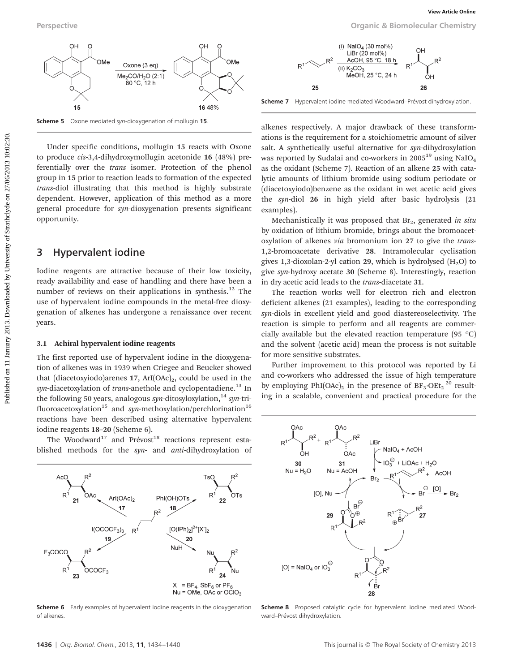![](_page_2_Figure_1.jpeg)

Under specific conditions, mollugin 15 reacts with Oxone to produce cis-3,4-dihydroxymollugin acetonide 16 (48%) preferentially over the trans isomer. Protection of the phenol group in 15 prior to reaction leads to formation of the expected trans-diol illustrating that this method is highly substrate dependent. However, application of this method as a more general procedure for syn-dioxygenation presents significant opportunity.

## 3 Hypervalent iodine

Iodine reagents are attractive because of their low toxicity, ready availability and ease of handling and there have been a number of reviews on their applications in synthesis.<sup>12</sup> The use of hypervalent iodine compounds in the metal-free dioxygenation of alkenes has undergone a renaissance over recent years.

### 3.1 Achiral hypervalent iodine reagents

The first reported use of hypervalent iodine in the dioxygenation of alkenes was in 1939 when Criegee and Beucker showed that (diacetoxyiodo)arenes  $17$ , ArI(OAc)<sub>2</sub>, could be used in the syn-diacetoxylation of trans-anethole and cyclopentadiene.<sup>13</sup> In the following 50 years, analogous syn-ditosyloxylation,<sup>14</sup> syn-trifluoroacetoxylation<sup>15</sup> and syn-methoxylation/perchlorination<sup>16</sup> reactions have been described using alternative hypervalent iodine reagents 18–20 (Scheme 6).

The Woodward<sup>17</sup> and Prévost<sup>18</sup> reactions represent established methods for the syn- and anti-dihydroxylation of

![](_page_2_Figure_8.jpeg)

**Scheme 6** Early examples of hypervalent iodine reagents in the dioxygenation of alkenes.

![](_page_2_Figure_12.jpeg)

Scheme 7 Hypervalent iodine mediated Woodward–Prévost dihydroxylation.

alkenes respectively. A major drawback of these transformations is the requirement for a stoichiometric amount of silver salt. A synthetically useful alternative for syn-dihydroxylation was reported by Sudalai and co-workers in 2005<sup>19</sup> using NaIO<sub>4</sub> as the oxidant (Scheme 7). Reaction of an alkene 25 with catalytic amounts of lithium bromide using sodium periodate or (diacetoxyiodo)benzene as the oxidant in wet acetic acid gives the syn-diol 26 in high yield after basic hydrolysis (21 examples).

Mechanistically it was proposed that  $Br<sub>2</sub>$ , generated in situ by oxidation of lithium bromide, brings about the bromoacetoxylation of alkenes via bromonium ion 27 to give the trans-1,2-bromoacetate derivative 28. Intramolecular cyclisation gives 1,3-dioxolan-2-yl cation 29, which is hydrolysed  $(H<sub>2</sub>O)$  to give syn-hydroxy acetate 30 (Scheme 8). Interestingly, reaction in dry acetic acid leads to the trans-diacetate 31.

The reaction works well for electron rich and electron deficient alkenes (21 examples), leading to the corresponding syn-diols in excellent yield and good diastereoselectivity. The reaction is simple to perform and all reagents are commercially available but the elevated reaction temperature (95  $\degree$ C) and the solvent (acetic acid) mean the process is not suitable for more sensitive substrates.

Further improvement to this protocol was reported by Li and co-workers who addressed the issue of high temperature by employing  $PhI(OAc)_2$  in the presence of  $BF_3 \cdot OEt_2$ <sup>20</sup> resulting in a scalable, convenient and practical procedure for the

![](_page_2_Figure_18.jpeg)

Scheme 8 Proposed catalytic cycle for hypervalent iodine mediated Woodward–Prévost dihydroxylation.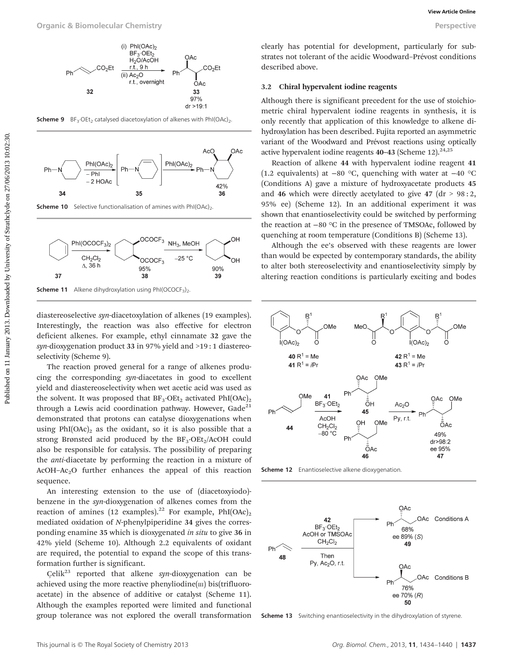![](_page_3_Figure_1.jpeg)

**Scheme 9** BF<sub>3</sub>·OEt<sub>2</sub> catalysed diacetoxylation of alkenes with PhI(OAc)<sub>2</sub>.

![](_page_3_Figure_3.jpeg)

**Scheme 10** Selective functionalisation of amines with PhI(OAc)<sub>2</sub>.

![](_page_3_Figure_5.jpeg)

Scheme 11 Alkene dihydroxylation using PhI(OCOCF<sub>3</sub>)<sub>2</sub>

diastereoselective syn-diacetoxylation of alkenes (19 examples). Interestingly, the reaction was also effective for electron deficient alkenes. For example, ethyl cinnamate 32 gave the syn-dioxygenation product 33 in 97% yield and >19:1 diastereoselectivity (Scheme 9).

The reaction proved general for a range of alkenes producing the corresponding syn-diacetates in good to excellent yield and diastereoselectivity when wet acetic acid was used as the solvent. It was proposed that  $BF_3 \cdot OEt_2$  activated PhI(OAc)<sub>2</sub> through a Lewis acid coordination pathway. However,  $Gade^{21}$ demonstrated that protons can catalyse dioxygenations when using  $PhI(OAc)_{2}$  as the oxidant, so it is also possible that a strong Brønsted acid produced by the  $BF_3 \cdot OEt_2/ACOH$  could also be responsible for catalysis. The possibility of preparing the anti-diacetate by performing the reaction in a mixture of AcOH–Ac2O further enhances the appeal of this reaction sequence.

An interesting extension to the use of (diacetoxyiodo) benzene in the syn-dioxygenation of alkenes comes from the reaction of amines (12 examples).<sup>22</sup> For example,  $PhI(OAc)_{2}$ mediated oxidation of N-phenylpiperidine 34 gives the corresponding enamine 35 which is dioxygenated in situ to give 36 in 42% yield (Scheme 10). Although 2.2 equivalents of oxidant are required, the potential to expand the scope of this transformation further is significant.

Celik<sup>23</sup> reported that alkene syn-dioxygenation can be achieved using the more reactive phenyliodine $(m)$  bis(trifluoroacetate) in the absence of additive or catalyst (Scheme 11). Although the examples reported were limited and functional group tolerance was not explored the overall transformation

clearly has potential for development, particularly for substrates not tolerant of the acidic Woodward–Prévost conditions described above.

### 3.2 Chiral hypervalent iodine reagents

Although there is significant precedent for the use of stoichiometric chiral hypervalent iodine reagents in synthesis, it is only recently that application of this knowledge to alkene dihydroxylation has been described. Fujita reported an asymmetric variant of the Woodward and Prévost reactions using optically active hypervalent iodine reagents  $40-43$  (Scheme 12).<sup>24,25</sup>

Reaction of alkene 44 with hypervalent iodine reagent 41 (1.2 equivalents) at −80 °C, quenching with water at −40 °C (Conditions A) gave a mixture of hydroxyacetate products 45 and 46 which were directly acetylated to give 47 (dr  $> 98:2$ , 95% ee) (Scheme 12). In an additional experiment it was shown that enantioselectivity could be switched by performing the reaction at −80 °C in the presence of TMSOAc, followed by quenching at room temperature (Conditions B) (Scheme 13).

Although the ee's observed with these reagents are lower than would be expected by contemporary standards, the ability to alter both stereoselectivity and enantioselectivity simply by altering reaction conditions is particularly exciting and bodes

![](_page_3_Figure_18.jpeg)

**Scheme 12** Enantioselective alkene dioxygenation.

![](_page_3_Figure_20.jpeg)

**Scheme 13** Switching enantioselectivity in the dihydroxylation of styrene.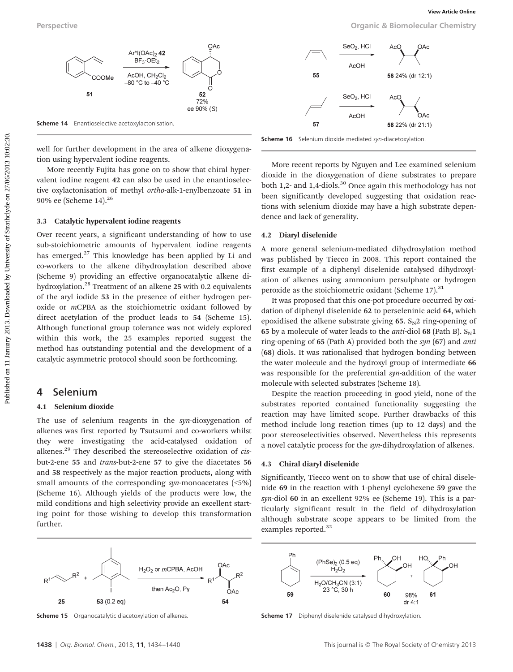well for further development in the area of alkene dioxygena-

Over recent years, a significant understanding of how to use sub-stoichiometric amounts of hypervalent iodine reagents has emerged.<sup>27</sup> This knowledge has been applied by Li and co-workers to the alkene dihydroxylation described above (Scheme 9) providing an effective organocatalytic alkene dihydroxylation.28 Treatment of an alkene 25 with 0.2 equivalents of the aryl iodide 53 in the presence of either hydrogen peroxide or mCPBA as the stoichiometric oxidant followed by direct acetylation of the product leads to 54 (Scheme 15). Although functional group tolerance was not widely explored within this work, the 25 examples reported suggest the method has outstanding potential and the development of a catalytic asymmetric protocol should soon be forthcoming.

tion using hypervalent iodine reagents.

3.3 Catalytic hypervalent iodine reagents

90% ee (Scheme 14).26

4 Selenium

further.

4.1 Selenium dioxide

Perspective Organic & Biomolecular Chemistry

![](_page_4_Figure_5.jpeg)

Scheme 16 Selenium dioxide mediated syn-diacetoxylation.

More recently Fujita has gone on to show that chiral hypervalent iodine reagent 42 can also be used in the enantioselective oxylactonisation of methyl ortho-alk-1-enylbenzoate 51 in More recent reports by Nguyen and Lee examined selenium dioxide in the dioxygenation of diene substrates to prepare both 1,2- and 1,4-diols.<sup>30</sup> Once again this methodology has not been significantly developed suggesting that oxidation reactions with selenium dioxide may have a high substrate dependence and lack of generality.

#### 4.2 Diaryl diselenide

A more general selenium-mediated dihydroxylation method was published by Tiecco in 2008. This report contained the first example of a diphenyl diselenide catalysed dihydroxylation of alkenes using ammonium persulphate or hydrogen peroxide as the stoichiometric oxidant (Scheme 17).<sup>31</sup>

It was proposed that this one-pot procedure occurred by oxidation of diphenyl diselenide 62 to perseleninic acid 64, which epoxidised the alkene substrate giving  $65. S<sub>N</sub>2$  ring-opening of 65 by a molecule of water leads to the *anti*-diol 68 (Path B).  $S_N1$ ring-opening of 65 (Path A) provided both the syn  $(67)$  and anti (68) diols. It was rationalised that hydrogen bonding between the water molecule and the hydroxyl group of intermediate 66 was responsible for the preferential syn-addition of the water molecule with selected substrates (Scheme 18). Perspective<br>
Published on 11 And Controllar Chemistro<br>
Published on 12 January 2013. Downloaded by University of Strathcline Chemistro<br>
Source: Apple 2013. The Controllar Chemistro Strathcline Controllar Chemistro<br>
Source

Despite the reaction proceeding in good yield, none of the substrates reported contained functionality suggesting the reaction may have limited scope. Further drawbacks of this method include long reaction times (up to 12 days) and the poor stereoselectivities observed. Nevertheless this represents a novel catalytic process for the syn-dihydroxylation of alkenes.

#### 4.3 Chiral diaryl diselenide

Significantly, Tiecco went on to show that use of chiral diselenide 69 in the reaction with 1-phenyl cyclohexene 59 gave the syn-diol 60 in an excellent 92% ee (Scheme 19). This is a particularly significant result in the field of dihydroxylation although substrate scope appears to be limited from the examples reported.<sup>32</sup>

![](_page_4_Figure_14.jpeg)

The use of selenium reagents in the syn-dioxygenation of alkenes was first reported by Tsutsumi and co-workers whilst they were investigating the acid-catalysed oxidation of alkenes. $29$  They described the stereoselective oxidation of cisbut-2-ene 55 and trans-but-2-ene 57 to give the diacetates 56 and 58 respectively as the major reaction products, along with small amounts of the corresponding syn-monoacetates (<5%) (Scheme 16). Although yields of the products were low, the mild conditions and high selectivity provide an excellent starting point for those wishing to develop this transformation

Scheme 15 Organocatalytic diacetoxylation of alkenes.

![](_page_4_Figure_16.jpeg)

Scheme 17 Diphenyl diselenide catalysed dihydroxylation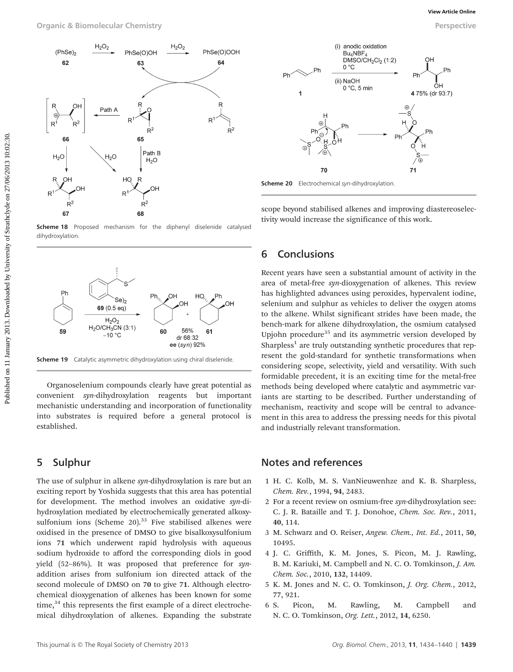![](_page_5_Figure_3.jpeg)

Scheme 18 Proposed mechanism for the diphenyl diselenide catalysed dihydroxylation.

![](_page_5_Figure_5.jpeg)

Scheme 19 Catalytic asymmetric dihydroxylation using chiral diselenide.

Organoselenium compounds clearly have great potential as convenient syn-dihydroxylation reagents but important mechanistic understanding and incorporation of functionality into substrates is required before a general protocol is established.

# 5 Sulphur

The use of sulphur in alkene syn-dihydroxylation is rare but an exciting report by Yoshida suggests that this area has potential for development. The method involves an oxidative syn-dihydroxylation mediated by electrochemically generated alkoxysulfonium ions (Scheme  $20$ ).<sup>33</sup> Five stabilised alkenes were oxidised in the presence of DMSO to give bisalkoxysulfonium ions 71 which underwent rapid hydrolysis with aqueous sodium hydroxide to afford the corresponding diols in good yield (52–86%). It was proposed that preference for synaddition arises from sulfonium ion directed attack of the second molecule of DMSO on 70 to give 71. Although electrochemical dioxygenation of alkenes has been known for some  $time<sub>1</sub><sup>34</sup>$ , this represents the first example of a direct electrochemical dihydroxylation of alkenes. Expanding the substrate

![](_page_5_Figure_10.jpeg)

Scheme 20 Electrochemical syn-dihydroxylation

scope beyond stabilised alkenes and improving diastereoselectivity would increase the significance of this work.

## 6 Conclusions

Recent years have seen a substantial amount of activity in the area of metal-free syn-dioxygenation of alkenes. This review has highlighted advances using peroxides, hypervalent iodine, selenium and sulphur as vehicles to deliver the oxygen atoms to the alkene. Whilst significant strides have been made, the bench-mark for alkene dihydroxylation, the osmium catalysed Upjohn procedure $35$  and its asymmetric version developed by Sharpless<sup>1</sup> are truly outstanding synthetic procedures that represent the gold-standard for synthetic transformations when considering scope, selectivity, yield and versatility. With such formidable precedent, it is an exciting time for the metal-free methods being developed where catalytic and asymmetric variants are starting to be described. Further understanding of mechanism, reactivity and scope will be central to advancement in this area to address the pressing needs for this pivotal and industrially relevant transformation.

# Notes and references

- 1 H. C. Kolb, M. S. VanNieuwenhze and K. B. Sharpless, Chem. Rev., 1994, 94, 2483.
- 2 For a recent review on osmium-free syn-dihydroxylation see: C. J. R. Bataille and T. J. Donohoe, Chem. Soc. Rev., 2011, 40, 114.
- 3 M. Schwarz and O. Reiser, Angew. Chem., Int. Ed., 2011, 50, 10495.
- 4 J. C. Griffith, K. M. Jones, S. Picon, M. J. Rawling, B. M. Kariuki, M. Campbell and N. C. O. Tomkinson, *J. Am.* Chem. Soc., 2010, 132, 14409.
- 5 K. M. Jones and N. C. O. Tomkinson, J. Org. Chem., 2012, 77, 921.
- 6 S. Picon, M. Rawling, M. Campbell and N. C. O. Tomkinson, Org. Lett., 2012, 14, 6250.